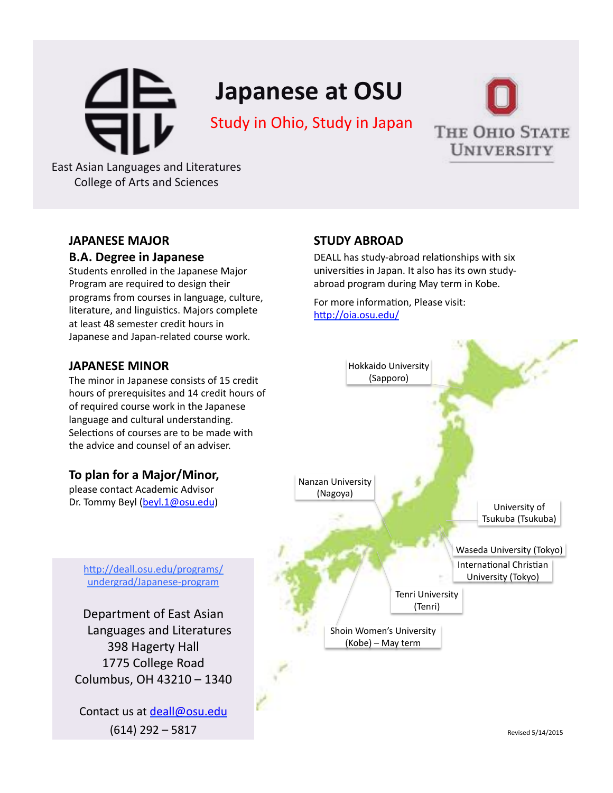# **Japanese at OSU**

# Study in Ohio, Study in Japan



**Testing the contract of the contract of the contract of the contract of the contract of the contract of the contract of the contract of the contract of the contract of the contract of the contract of the contract of the c East Asian Languages and Literatures** College of Arts and Sciences

#### **JAPANESE'MAJOR'**

#### **B.A.'Degree'in'Japanese**

Students enrolled in the Japanese Major Program are required to design their programs from courses in language, culture, literature, and linguistics. Majors complete at least 48 semester credit hours in Japanese and Japan-related course work.

#### **JAPANESE MINOR**

The minor in Japanese consists of 15 credit hours of prerequisites and 14 credit hours of of required course work in the Japanese language and cultural understanding. Selections of courses are to be made with the advice and counsel of an adviser.

### To plan for a Major/Minor,

please contact Academic Advisor Dr. Tommy Beyl (beyl.1@osu.edu)

#### **STUDY'ABROAD'**

DEALL has study-abroad relationships with six universities in Japan. It also has its own studyabroad program during May term in Kobe.

For more information, Please visit: http://oia.osu.edu/



http://deall.osu.edu/programs/ undergrad/Japanese-program

Department of East Asian Languages and Literatures 398 Hagerty Hall 1775 College Road Columbus, OH 43210 - 1340

Contact us at deall@osu.edu  $(614)$  292 – 5817

Revised!5/14/2015